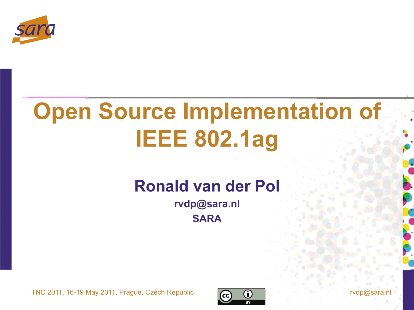

# **Open Source Implementation of IEEE 802.1ag**

#### **Ronald van der Pol**

**rvdp@sara.nl SARA** 

TNC 2011, 16-19 May 2011, Prague, Czech Republic

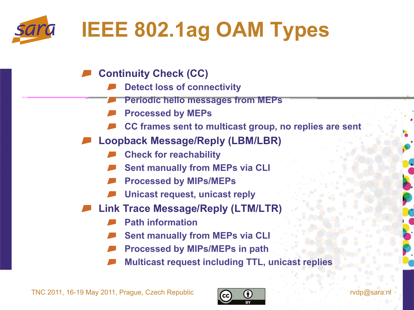

- **Continuity Check (CC)** 
	- **Detect loss of connectivity** 
		- **Periodic hello messages from MEPs**
	- **Processed by MEPs**
	- **CC frames sent to multicast group, no replies are sent**
- **Loopback Message/Reply (LBM/LBR)** 
	- **Check for reachability**
	- **Sent manually from MEPs via CLI**
	- **Processed by MIPs/MEPs**
	- **Unicast request, unicast reply**
- **Link Trace Message/Reply (LTM/LTR)** 
	- **Path information**
	- **Sent manually from MEPs via CLI**
	- **Processed by MIPs/MEPs in path**
	- **Multicast request including TTL, unicast replies**

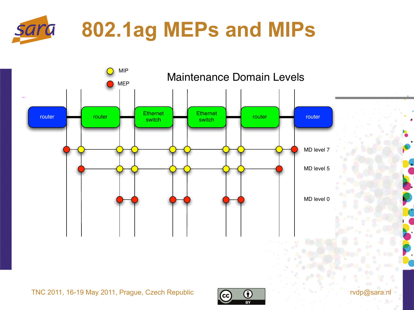



TNC 2011, 16-19 May 2011, Prague, Czech Republic  $\overline{cc}$   $\overline{c}$   $\overline{d}$   $\overline{d}$  rvdp@sara.nl

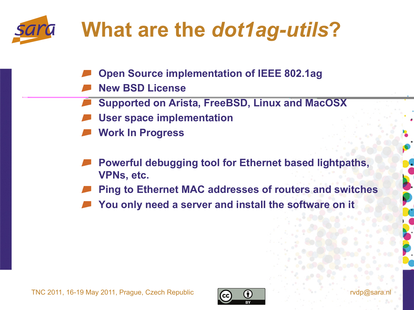

### **What are the** *dot1ag-utils***?**

- **Open Source implementation of IEEE 802.1ag**
- **New BSD License**
- **Supported on Arista, FreeBSD, Linux and MacOSX**
- **User space implementation**
- **Work In Progress**
- **Powerful debugging tool for Ethernet based lightpaths, VPNs, etc.**
- **Ping to Ethernet MAC addresses of routers and switches**
- **You only need a server and install the software on it**



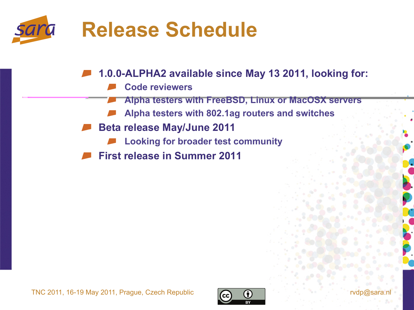

**1.0.0-ALPHA2 available since May 13 2011, looking for:** 

- **Code reviewers** 
	- **Alpha testers with FreeBSD, Linux or MacOSX servers**
- **Alpha testers with 802.1ag routers and switches**
- **Beta release May/June 2011** 
	- **Looking for broader test community**
- **First release in Summer 2011**



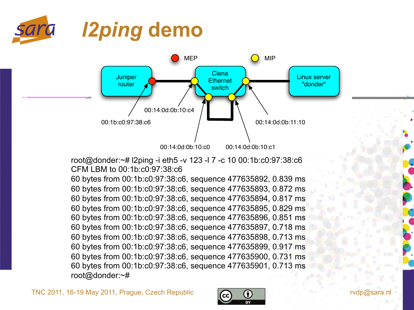



root@donder:~# l2ping -i eth5 -v 123 -l 7 -c 10 00:1b:c0:97:38:c6 CFM LBM to 00:1b:c0:97:38:c6

60 bytes from 00:1b:c0:97:38:c6, sequence 477635892, 0.839 ms 60 bytes from 00:1b:c0:97:38:c6, sequence 477635893, 0.872 ms 60 bytes from 00:1b:c0:97:38:c6, sequence 477635894, 0.817 ms 60 bytes from 00:1b:c0:97:38:c6, sequence 477635895, 0.829 ms 60 bytes from 00:1b:c0:97:38:c6, sequence 477635896, 0.851 ms 60 bytes from 00:1b:c0:97:38:c6, sequence 477635897, 0.718 ms 60 bytes from 00:1b:c0:97:38:c6, sequence 477635898, 0.713 ms 60 bytes from 00:1b:c0:97:38:c6, sequence 477635899, 0.917 ms 60 bytes from 00:1b:c0:97:38:c6, sequence 477635900, 0.731 ms 60 bytes from 00:1b:c0:97:38:c6, sequence 477635901, 0.713 ms root@donder:~#

TNC 2011, 16-19 May 2011, Prague, Czech Republic  $\bigcap_{n=1}^{\infty}$   $\bigcap_{n=1}^{\infty}$  rvdp@sara

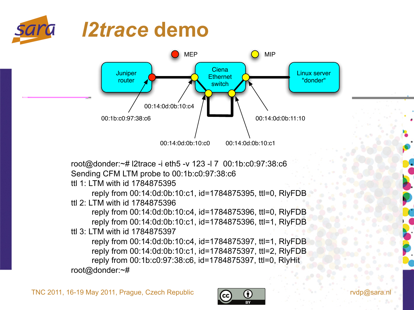



root@donder:~# l2trace -i eth5 -v 123 -l 7 00:1b:c0:97:38:c6 Sending CFM LTM probe to 00:1b:c0:97:38:c6

ttl 1: LTM with id 1784875395

reply from 00:14:0d:0b:10:c1, id=1784875395, ttl=0, RlyFDB ttl 2: LTM with id 1784875396

reply from 00:14:0d:0b:10:c4, id=1784875396, ttl=0, RlyFDB reply from 00:14:0d:0b:10:c1, id=1784875396, ttl=1, RlyFDB ttl 3: LTM with id 1784875397

reply from 00:14:0d:0b:10:c4, id=1784875397, ttl=1, RlyFDB reply from 00:14:0d:0b:10:c1, id=1784875397, ttl=2, RlyFDB reply from 00:1b:c0:97:38:c6, id=1784875397, ttl=0, RlyHit root@donder:~#

TNC 2011, 16-19 May 2011, Prague, Czech Republic  $\bigcap_{n=1}^{\infty}$   $\bigcap_{n=1}^{\infty}$  rvdp@sa

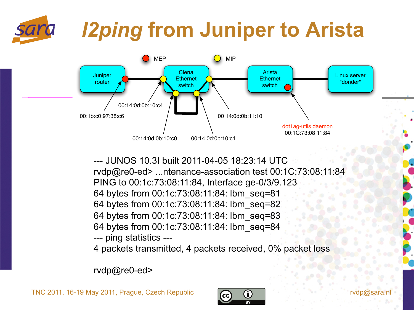## *l2ping* **from Juniper to Arista**



--- JUNOS 10.3I built 2011-04-05 18:23:14 UTC rvdp@re0-ed> ...ntenance-association test 00:1C:73:08:11:84 PING to 00:1c:73:08:11:84, Interface ge-0/3/9.123 64 bytes from 00:1c:73:08:11:84: lbm\_seq=81 64 bytes from 00:1c:73:08:11:84: lbm\_seq=82 64 bytes from 00:1c:73:08:11:84: lbm\_seq=83 64 bytes from 00:1c:73:08:11:84: lbm\_seq=84 --- ping statistics ---

4 packets transmitted, 4 packets received, 0% packet loss

rvdp@re0-ed>

TNC 2011, 16-19 May 2011, Prague, Czech Republic

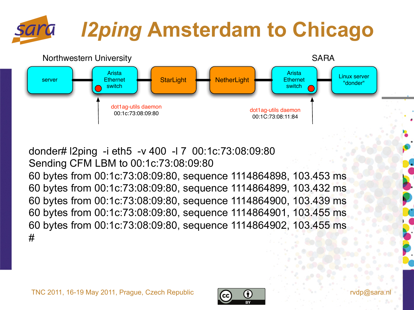# *l2ping* **Amsterdam to Chicago**



donder# l2ping -i eth5 -v 400 -l 7 00:1c:73:08:09:80 Sending CFM LBM to 00:1c:73:08:09:80 60 bytes from 00:1c:73:08:09:80, sequence 1114864898, 103.453 ms 60 bytes from 00:1c:73:08:09:80, sequence 1114864899, 103.432 ms 60 bytes from 00:1c:73:08:09:80, sequence 1114864900, 103.439 ms 60 bytes from 00:1c:73:08:09:80, sequence 1114864901, 103.455 ms 60 bytes from 00:1c:73:08:09:80, sequence 1114864902, 103.455 ms #